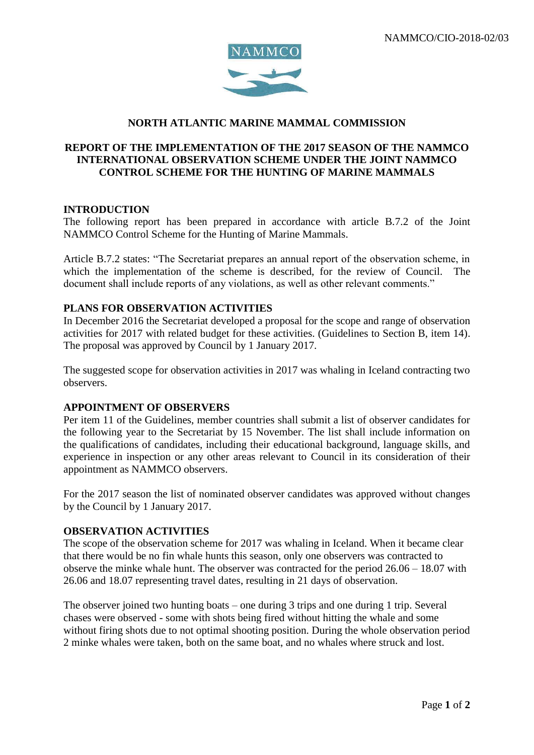

# **NORTH ATLANTIC MARINE MAMMAL COMMISSION**

### **REPORT OF THE IMPLEMENTATION OF THE 2017 SEASON OF THE NAMMCO INTERNATIONAL OBSERVATION SCHEME UNDER THE JOINT NAMMCO CONTROL SCHEME FOR THE HUNTING OF MARINE MAMMALS**

#### **INTRODUCTION**

The following report has been prepared in accordance with article B.7.2 of the Joint NAMMCO Control Scheme for the Hunting of Marine Mammals.

Article B.7.2 states: "The Secretariat prepares an annual report of the observation scheme, in which the implementation of the scheme is described, for the review of Council. The document shall include reports of any violations, as well as other relevant comments."

#### **PLANS FOR OBSERVATION ACTIVITIES**

In December 2016 the Secretariat developed a proposal for the scope and range of observation activities for 2017 with related budget for these activities. (Guidelines to Section B, item 14). The proposal was approved by Council by 1 January 2017.

The suggested scope for observation activities in 2017 was whaling in Iceland contracting two observers.

## **APPOINTMENT OF OBSERVERS**

Per item 11 of the Guidelines, member countries shall submit a list of observer candidates for the following year to the Secretariat by 15 November. The list shall include information on the qualifications of candidates, including their educational background, language skills, and experience in inspection or any other areas relevant to Council in its consideration of their appointment as NAMMCO observers.

For the 2017 season the list of nominated observer candidates was approved without changes by the Council by 1 January 2017.

#### **OBSERVATION ACTIVITIES**

The scope of the observation scheme for 2017 was whaling in Iceland. When it became clear that there would be no fin whale hunts this season, only one observers was contracted to observe the minke whale hunt. The observer was contracted for the period 26.06 – 18.07 with 26.06 and 18.07 representing travel dates, resulting in 21 days of observation.

The observer joined two hunting boats – one during 3 trips and one during 1 trip. Several chases were observed - some with shots being fired without hitting the whale and some without firing shots due to not optimal shooting position. During the whole observation period 2 minke whales were taken, both on the same boat, and no whales where struck and lost.